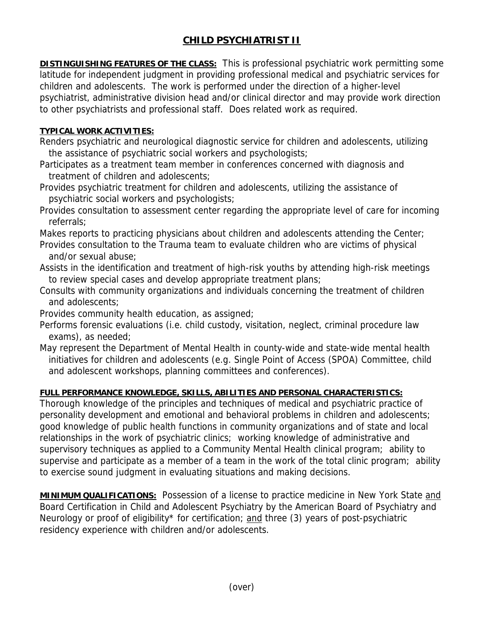## **CHILD PSYCHIATRIST II**

**DISTINGUISHING FEATURES OF THE CLASS:** This is professional psychiatric work permitting some latitude for independent judgment in providing professional medical and psychiatric services for children and adolescents. The work is performed under the direction of a higher-level psychiatrist, administrative division head and/or clinical director and may provide work direction to other psychiatrists and professional staff. Does related work as required.

## **TYPICAL WORK ACTIVITIES:**

- Renders psychiatric and neurological diagnostic service for children and adolescents, utilizing the assistance of psychiatric social workers and psychologists;
- Participates as a treatment team member in conferences concerned with diagnosis and treatment of children and adolescents;
- Provides psychiatric treatment for children and adolescents, utilizing the assistance of psychiatric social workers and psychologists;
- Provides consultation to assessment center regarding the appropriate level of care for incoming referrals;
- Makes reports to practicing physicians about children and adolescents attending the Center;
- Provides consultation to the Trauma team to evaluate children who are victims of physical and/or sexual abuse;
- Assists in the identification and treatment of high-risk youths by attending high-risk meetings to review special cases and develop appropriate treatment plans;
- Consults with community organizations and individuals concerning the treatment of children and adolescents;
- Provides community health education, as assigned;
- Performs forensic evaluations (i.e. child custody, visitation, neglect, criminal procedure law exams), as needed;
- May represent the Department of Mental Health in county-wide and state-wide mental health initiatives for children and adolescents (e.g. Single Point of Access (SPOA) Committee, child and adolescent workshops, planning committees and conferences).

## **FULL PERFORMANCE KNOWLEDGE, SKILLS, ABILITIES AND PERSONAL CHARACTERISTICS:**

Thorough knowledge of the principles and techniques of medical and psychiatric practice of personality development and emotional and behavioral problems in children and adolescents; good knowledge of public health functions in community organizations and of state and local relationships in the work of psychiatric clinics; working knowledge of administrative and supervisory techniques as applied to a Community Mental Health clinical program; ability to supervise and participate as a member of a team in the work of the total clinic program; ability to exercise sound judgment in evaluating situations and making decisions.

**MINIMUM QUALIFICATIONS:** Possession of a license to practice medicine in New York State and Board Certification in Child and Adolescent Psychiatry by the American Board of Psychiatry and Neurology or proof of eligibility\* for certification; and three (3) years of post-psychiatric residency experience with children and/or adolescents.